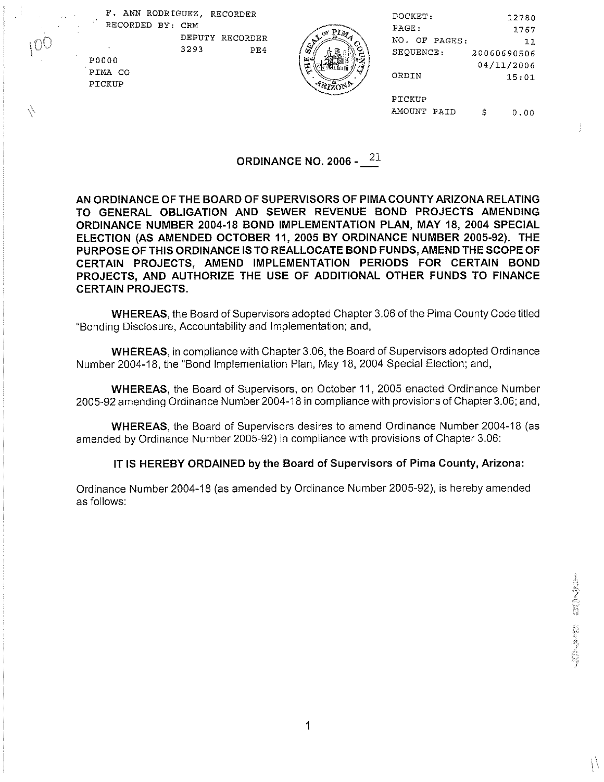F. ANN RODRIGUEZ, RECORDER RECORDED BY: CRM

. '

| F. ANN RODRIGUEZ, RECORDER<br>$\rightarrow$ | DOCKET:            |                | 12780     |             |
|---------------------------------------------|--------------------|----------------|-----------|-------------|
| RECORDED BY: CRM                            |                    | PAGE:          |           | 1767        |
|                                             | DEPUTY<br>RECORDER | NO.            | OF PAGES: | 11          |
|                                             | 3293<br>PE4        | œ<br>SEQUENCE: |           | 20060690506 |
| P0000                                       |                    | 国人             |           | 04/11/2006  |
| PIMA CO                                     |                    | ارم<br>ORDIN   |           | 15:01       |
| PICKUP                                      |                    | $-120N2$       |           |             |
|                                             |                    | PICKUP         |           |             |
|                                             |                    | AMOUNT PAID    | e         | 0.00        |
|                                             |                    |                |           |             |

# **ORDINANCE NO. 2006 -**  $2^{21}$

AN ORDINANCE OF THE BOARD OF SUPERVISORS OF PIMACOUNTY ARIZONA RELATING TO GENERAL OBLIGATION AND SEWER REVENUE BOND PROJECTS AMENDING ORDINANCE NUMBER **2004-18** BOND IMPLEMENTATION PLAN, MAY **18, 2004** SPECIAL ELECTION (AS AMENDED OCTOBER **11, 2005** BY ORDINANCE NUMBER **2005-92).** THE PURPOSE OF THIS ORDINANCE IS TO REALLOCATE BOND FUNDS, AMENDTHE SCOPE OF CERTAIN PROJECTS, AMEND IMPLEMENTATION PERIODS FOR CERTAIN BOND PROJECTS, AND AUTHORIZE THE USE OF ADDITIONAL OTHER FUNDS TO FINANCE CERTAIN PROJECTS.

WHEREAS, the Board of Supervisors adopted Chapter 3.06 of the Pima County Code titled "Bonding Disclosure, Accountability and Implementation; and,

WHEREAS, in compliance with Chapter 3.06, the Board of Supervisors adopted Ordinance Number 2004-18, the "Bond Implementation Plan, May 18, 2004 Special Election; and,

WHEREAS, the Board of Supervisors, on October 11, 2005 enacted Ordinance Number 2005-92 amending Ordinance Number 2004-18 in compliance with provisions of Chapter 3.06; and,

WHEREAS, the Board of Supervisors desires to amend Ordinance Number 2004-18 (as amended by Ordinance Number 2005-92) in compliance with provisions of Chapter 3.06:

IT IS HEREBY ORDAINED by the Board of Supervisors of Pima County, Arizona:

Ordinance Number 2004-18 (as amended by Ordinance Number 2005-92), is hereby amended as follows: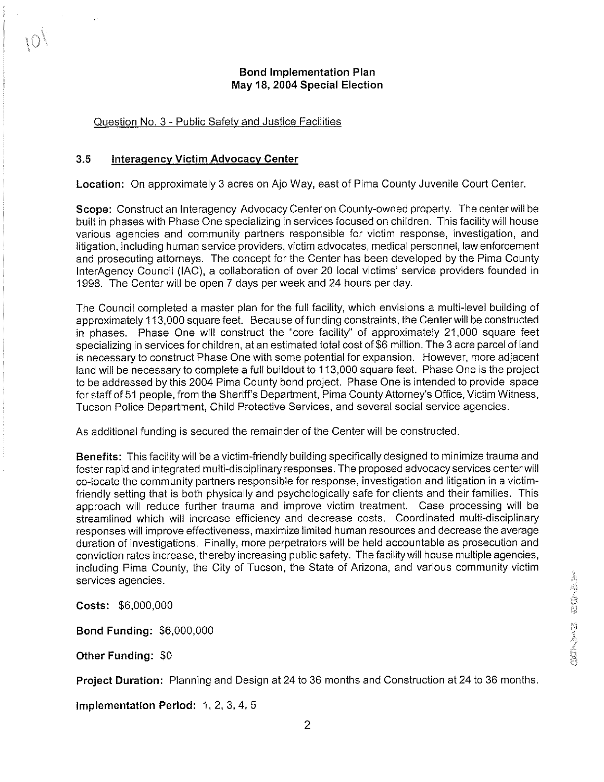# Bond lmplementation Plan May **18, 2004** Special Election

# Question No. 3 - Public Safetv and Justice Facilities

#### 3.5 lnteragencv Victim Advocacv Center

Location: On approximately 3 acres on Ajo Way, east of Pima County Juvenile Court Center.

Scope: Construct an Interagency Advocacy Center on County-owned property. The center will be built in phases with Phase One specializing in services focused on children. This facility will house various agencies and community partners responsible for victim response, investigation, and litigation, including human service providers, victim advocates, medical personnel, law enforcement and prosecuting attorneys. The concept for the Center has been developed by the Pima County InterAgency Council (IAC), a collaboration of over 20 local victims' service providers founded in 1998. The Center will be open 7 days per week and 24 hours per day.

The Council completed a master plan for the full facility, which envisions a multi-level building of approximately 11 3,000 square feet. Because of funding constraints, the Center will be constructed in phases. Phase One will construct the "core facility'' of approximately 21,000 square feet specializing in services for children, at an estimated total cost of \$6 million. The 3 acre parcel of land is necessary to construct Phase One with some potential for expansion. However, more adjacent land will be necessary to complete a full buildout to 113,000 square feet. Phase One is the project to be addressed by this 2004 Pima County bond project. Phase One is intended to provide space for staff of 51 people, from the Sheriff's Department, Pima County Attorney's Office, Victim Witness, Tucson Police Department, Child Protective Services, and several social service agencies.

As additional funding is secured the remainder of the Center will be constructed

Benefits: This facility will be a victim-friendly building specifically designed to minimize trauma and foster rapid and integrated multi-disciplinary responses. The proposed advocacy services center will co-locate the community partners responsible for response, investigation and litigation in a victimfriendly setting that is both physically and psychologically safe for clients and their families. This approach will reduce further trauma and improve victim treatment. Case processing will be streamlined which will increase efficiency and decrease costs. Coordinated multi-disciplinary responses will improve effectiveness, maximize limited human resources and decrease the average duration of investigations. Finally, more perpetrators will be held accountable as prosecution and conviction rates increase, thereby increasing public safety. The facility will house multiple agencies, including Pima County, the City of Tucson, the State of Arizona, and various community victim services agencies.

Costs: \$6,000,000

Bond Funding: \$6,000,000

Other Funding: \$0

Project Duration: Planning and Design at 24 to 36 months and Construction at 24 to 36 months.

Implementation Period: 1, 2, 3, 4, 5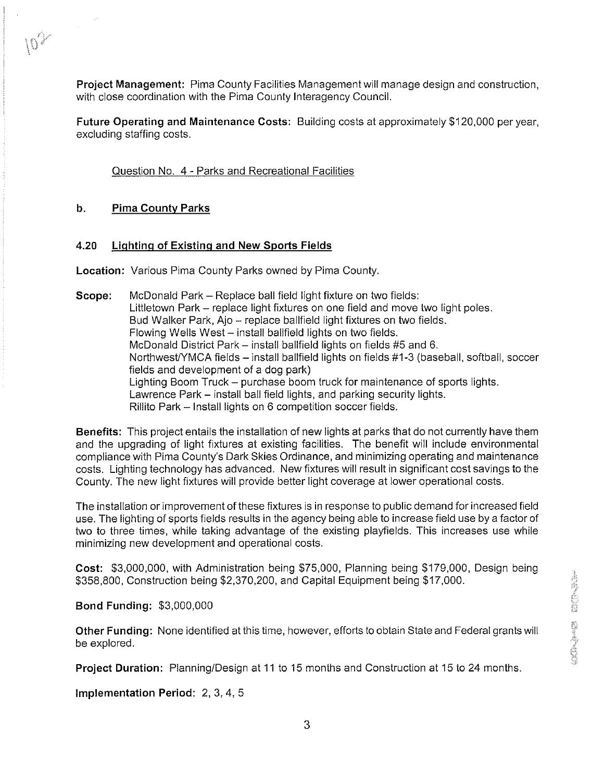Project Management: Pima County Facilities Management will manage design and construction, with close coordination with the Pima County Interagency Council.

Future Operating and Maintenance Costs: Building costs at approximately \$120,000 per year, excluding staffing costs.

Question No. 4 - Parks and Recreational Facilities

## **b.** Pima County Parks

 $\label{eq:2.1} \frac{1}{\sqrt{2\pi}}\frac{1}{\sqrt{2\pi}}\frac{d^4}{d^4}$ 

 $10^{25}$ 

#### **4.20 Lighting of Existing and New Sports Fields**

Location: Various Pima County Parks owned by Pima County.

**Scope:** McDonald Park - Replace ball field light fixture on two fields: Littletown Park – replace light fixtures on one field and move two light poles. Bud Walker Park, Ajo - replace ballfield light fixtures on two fields. Flowing Wells West - install ballfield lights on two fields. McDonald District Park - install ballfield lights on fields #5 and 6. Northwest/YMCA fields – install ballfield lights on fields #1-3 (baseball, softball, soccer fields and development of a dog park) Lighting Boom Truck - purchase boom truck for maintenance of sports lights. Lawrence Park – install ball field lights, and parking security lights. Rillito Park - Install lights on 6 competition soccer fields.

Benefits: This project entails the installation of new lights at parks that do not currently have them and the upgrading of light fixtures at existing facilities. The benefit will include environmental compliance with Pima County's Dark Skies Ordinance, and minimizing operating and maintenance costs. Lighting technology has advanced. New fixtures will result in significant cost savings to the County. The new light fixtures will provide better light coverage at lower operational costs.

The installation or improvement of these fixtures is in response to public demand for increased field use. The lighting of sports fields results in the agency being able to increase field use by a factor of two to three times, while taking advantage of the existing playfields. This increases use while minimizing new development and operational costs.

Cost: \$3,000,000, with Administration being \$75,000, Planning being \$179,000, Design being \$358,800, Construction being \$2,370,200, and Capital Equipment being \$17,000.

Bond Funding: \$3,000,000

Other Funding: None identified at this time, however, efforts to obtain State and Federal grants will be explored.

Project Duration: Planning/Design at 11 to 15 months and Construction at 15 to 24 months.

Implementation Period: 2, 3, 4, 5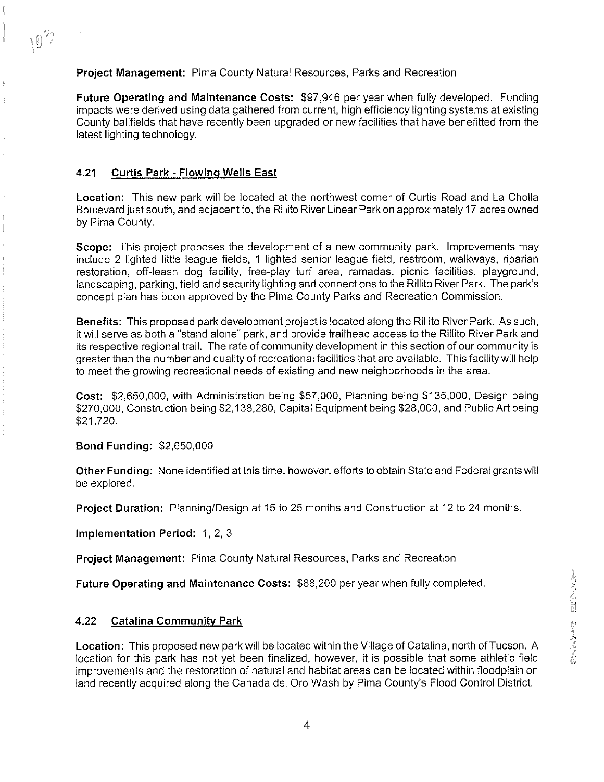Project Management: Pima County Natural Resources, Parks and Recreation

Future Operating and Maintenance Costs: \$97,946 per year when fully developed. Funding impacts were derived using data gathered from current, high efficiency lighting systems at existing County ballfields that have recently been upgraded or new facilities that have benefitted from the latest lighting technology.

# **4.21** Curtis Park - Flowinq Wells East

 $\sim 10$ 

Location: This new park will be located at the northwest corner of Curtis Road and La Cholla Boulevard just south, and adjacent to, the Rillito River Linear Park on approximately 17 acres owned by Pima County.

Scope: This project proposes the development of a new community park. Improvements may include 2 lighted little league fields, 1 lighted senior league field, restroom, walkways, riparian restoration, off-leash dog facility, free-play turf area, ramadas, picnic facilities, playground, landscaping, parking, field and security lighting and connections to the Rillito River Park. The park's concept plan has been approved by the Pima County Parks and Recreation Commission.

Benefits: This proposed park development project is located along the Rillito River Park. As such, it will serve as both a "stand alone" park, and provide trailhead access to the Rillito River Park and its respective regional trail. The rate of community development in this section of our community is greater than the number and quality of recreational facilities that are available. This facility will help to meet the growing recreational needs of existing and new neighborhoods in the area.

Cost: \$2,650,000, with Administration being \$57,000, Planning being \$135,000, Design being \$270,000, Construction being \$2,138,280, Capital Equipment being \$28,000, and Public Art being \$21,720.

## Bond Funding: \$2,650,000

Other Funding: None identified at this time, however, efforts to obtain State and Federal grants will be explored.

**Project Duration:** Planning/Design at 15 to 25 months and Construction at 12 to 24 months,

Implementation Period: 1, 2, 3

Project Management: Pima County Natural Resources, Parks and Recreation

Future Operating and Maintenance Costs: \$88,200 per year when fully completed.

# **4.22** Catalina Communitv Park

Location: This proposed new park will be located within the Village of Catalina, north of Tucson. A location for this park has not yet been finalized, however, it is possible that some athletic field improvements and the restoration of natural and habitat areas can be located within floodplain on land recently acquired along the Canada del Oro Wash by Pima County's Flood Control District.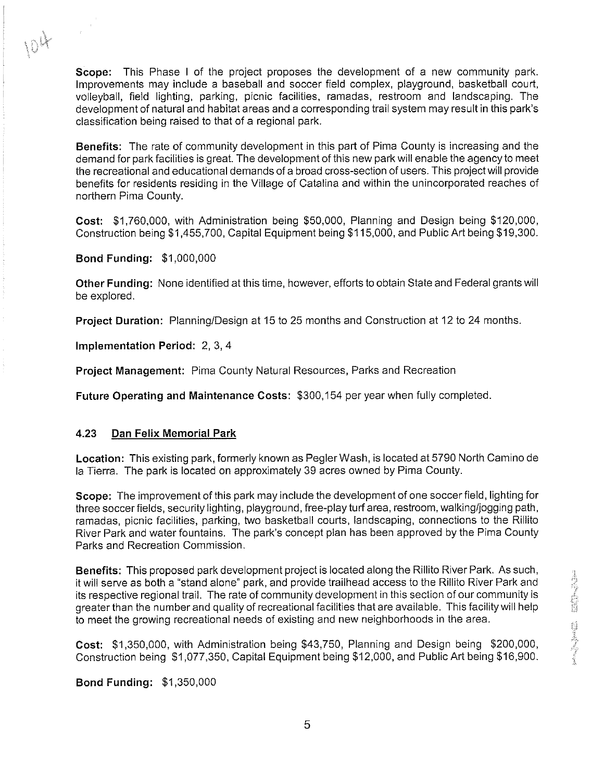Scope: This Phase I of the project proposes the development of a new community park. Improvements may include a baseball and soccer field complex, playground, basketball court, volleyball, field lighting, parking, picnic facilities, ramadas, restroom and landscaping. The development of natural and habitat areas and a corresponding trail system may result in this park's classification being raised to that of a regional park.

Benefits: The rate of community development in this part of Pima County is increasing and the demand for park facilities is great. The development of this new park will enable the agency to meet the recreational and educational demands of a broad cross-section of users. This project will provide benefits for residents residing in the Village of Catalina and within the unincorporated reaches of northern Pima County.

Cost: \$1,760,000, with Administration being \$50,000, Planning and Design being \$120,000, Construction being \$1,455,700, Capital Equipment being \$1 15,000, and Public Art being \$19,300.

Bond Funding: \$1,000,000

 $\label{eq:2} \begin{array}{c} \frac{1}{\sqrt{2}}\\ \frac{1}{\sqrt{2}}\\ \frac{1}{\sqrt{2}}\\ \frac{1}{\sqrt{2}}\\ \frac{1}{\sqrt{2}}\\ \frac{1}{\sqrt{2}}\\ \frac{1}{\sqrt{2}}\\ \frac{1}{\sqrt{2}}\\ \frac{1}{\sqrt{2}}\\ \frac{1}{\sqrt{2}}\\ \frac{1}{\sqrt{2}}\\ \frac{1}{\sqrt{2}}\\ \frac{1}{\sqrt{2}}\\ \frac{1}{\sqrt{2}}\\ \frac{1}{\sqrt{2}}\\ \frac{1}{\sqrt{2}}\\ \frac{1}{\sqrt{2}}\\ \frac{1}{\sqrt{2}}\\ \frac{1}{\sqrt{$ 

Other Funding: None identified at this time, however, efforts to obtain State and Federal grants will be explored.

Project Duration: Planning/Design at 15 to 25 months and Construction at 12 to 24 months.

Implementation Period: 2, 3, 4

Project Management: Pima County Natural Resources, Parks and Recreation

Future Operating and Maintenance Costs: \$300,154 per year when fully completed

#### **4.23** Dan Felix Memorial Park

Location: This existing park, formerly known as Pegler Wash, is located at 5790 North Camino de la Tierra. The park is located on approximately 39 acres owned by Pima County.

Scope: The improvement of this park may include the development of one soccerfield, lighting for three soccerfields, security lighting, playground, free-play turf area, restroom, walkingljogging path, ramadas, picnic facilities, parking, two basketball courts, landscaping, connections to the Rillito River Park and water fountains. The park's concept plan has been approved by the Pima County Parks and Recreation Commission.

Benefits: This proposed park development project is located along the Rillito River Park. As such, it will serve as both a "stand alone" park, and provide trailhead access to the Rillito River Park and its respective regional trail. The rate of community development in this section of our community is greater than the number and quality of recreational facilities that are available. This facility will help to meet the growing recreational needs of existing and new neighborhoods in the area.

Cost: \$1,350,000, with Administration being \$43,750, Planning and Design being \$200,000, Construction being \$1,077,350, Capital Equipment being \$12,000, and Public Art being \$16,900.

## Bond Funding: \$1,350,000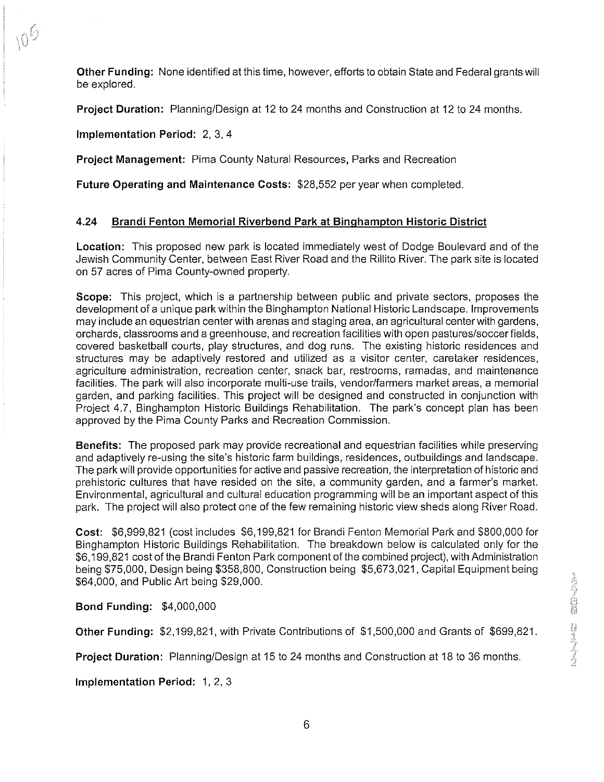Other Funding: None identified at this time, however, efforts to obtain State and Federal grants will be explored.

Project Duration: Planning/Design at 12 to 24 months and Construction at 12 to 24 months.

Implementation Period: 2, 3, 4

Project Management: Pima County Natural Resources, Parks and Recreation

Future Operating and Maintenance Costs: \$28,552 per year when completed

# **4.24** Brandi Fenton Memorial Riverbend Park at Binqhampton Historic District

Location: This proposed new park is located immediately west of Dodge Boulevard and of the Jewish Community Center, between East River Road and the Rillito River. The park site is located on 57 acres of Pima County-owned property.

Scope: This project, which is a partnership between public and private sectors, proposes the development of a unique park within the Binghampton National Historic Landscape. lmprovements may include an equestrian center with arenas and staging area, an agricultural center with gardens, orchards, classrooms and a greenhouse, and recreation facilities with open pastureslsoccer fields, covered basketball courts, play structures, and dog runs. The existing historic residences and structures may be adaptively restored and utilized as a visitor center, caretaker residences, agriculture administration, recreation center, snack bar, restrooms, ramadas, and maintenance facilities. The park will also incorporate multi-use trails, vendorlfarmers market areas, a memorial garden, and parking facilities. This project will be designed and constructed in conjunction with Project 4.7, Binghampton Historic Buildings Rehabilitation. The park's concept plan has been approved by the Pima County Parks and Recreation Commission.

Benefits: The proposed park may provide recreational and equestrian facilities while preserving and adaptively re-using the site's historic farm buildings, residences, outbuildings and landscape. The park will provide opportunities for active and passive recreation, the interpretation of historic and prehistoric cultures that have resided on the site, a community garden, and a farmer's market. Environmental, agricultural and cultural education programming will be an important aspect of this park. The project will also protect one of the few remaining historic view sheds along River Road.

Cost: \$6,999,821 (cost includes \$6,199,821 for Brandi Fenton Memorial Park and \$800,000 for Binghampton Historic Buildings Rehabilitation. The breakdown below is calculated only for the \$6,199,821 cost of the Brandi Fenton Park component of the combined project), with Administration being \$75,000, Design being \$358,800, Construction being \$5,673,021, Capital Equipment being \$64,000, and Public Art being \$29,000.

Bond Funding: \$4,000,000

Other Funding: \$2,199,821, with Private Contributions of \$1,500,000 and Grants of \$699,821.

**Project Duration:** Planning/Design at 15 to 24 months and Construction at 18 to 36 months.

Implementation Period: 1, 2, 3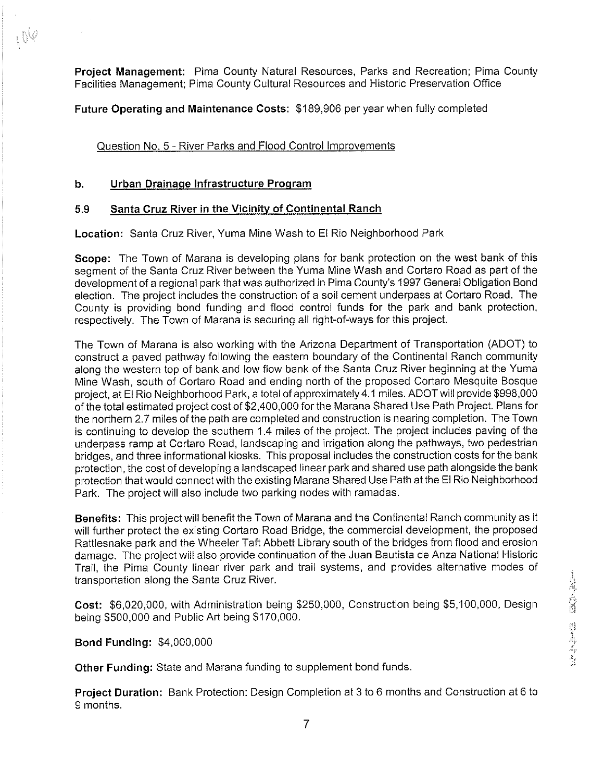Project Management: Pima County Natural Resources, Parks and Recreation; Pima County Facilities Management; Pima County Cultural Resources and Historic Preservation Office

Future Operating and Maintenance Costs: \$189,906 per year when fully completed

Question No. 5 - River Parks and Flood Control Improvements

## b. Urban Drainaqe Infrastructure Program

 $10<sup>6</sup>$ 

## **5.9** Santa Cruz River in the Vicinitv of Continental Ranch

Location: Santa Cruz River, Yuma Mine Wash to El Rio Neighborhood Park

Scope: The Town of Marana is developing plans for bank protection on the west bank of this segment of the Santa Cruz River between the Yuma Mine Wash and Cortaro Road as part of the development of a regional park that was authorized in Pima County's 1997 General Obligation Bond election. The project includes the construction of a soil cement underpass at Cortaro Road. The County is providing bond funding and flood control funds for the park and bank protection, respectively. The Town of Marana is securing all right-of-ways for this project.

The Town of Marana is also working with the Arizona Department of Transportation (ADOT) to construct a paved pathway following the eastern boundary of the Continental Ranch community along the western top of bank and low flow bank of the Santa Cruz River beginning at the Yuma Mine Wash, south of Cortaro Road and ending north of the proposed Cortaro Mesquite Bosque project, at El Rio Neighborhood Park, a total of approximately 4.1 miles. ADOTwill provide \$998,000 of the total estimated project cost of \$2,400,000 for the Marana Shared Use Path Project. Plans for the northern 2.7 miles of the path are completed and construction is nearing completion. TheTown is continuing to develop the southern 1.4 miles of the project. The project includes paving of the underpass ramp at Cortaro Road, landscaping and irrigation along the pathways, two pedestrian bridges, and three informational kiosks. This proposal includes the construction costs for the bank protection, the cost of developing a landscaped linear park and shared use path alongside the bank protection that would connect with the existing Marana Shared Use Path at the El Rio Neighborhood Park. The project will also include two parking nodes with ramadas.

Benefits: This project will benefit the Town of Marana and the Continental Ranch community as it will further protect the existing Cortaro Road Bridge, the commercial development, the proposed Rattlesnake park and the Wheeler Taft Abbett Library south of the bridges from flood and erosion damage. The project will also provide continuation of the Juan Bautista de Anza National Historic Trail, the Pima County linear river park and trail systems, and provides alternative modes of transportation along the Santa Cruz River.

Cost: \$6,020,000, with Administration being \$250,000, Construction being \$5,100,000, Design being \$500,000 and Public Art being \$170,000.

Bond Funding: \$4,000,000

Other Funding: State and Marana funding to supplement bond funds.

Project Duration: Bank Protection: Design Completion at 3 to 6 months and Construction at 6 to 9 months.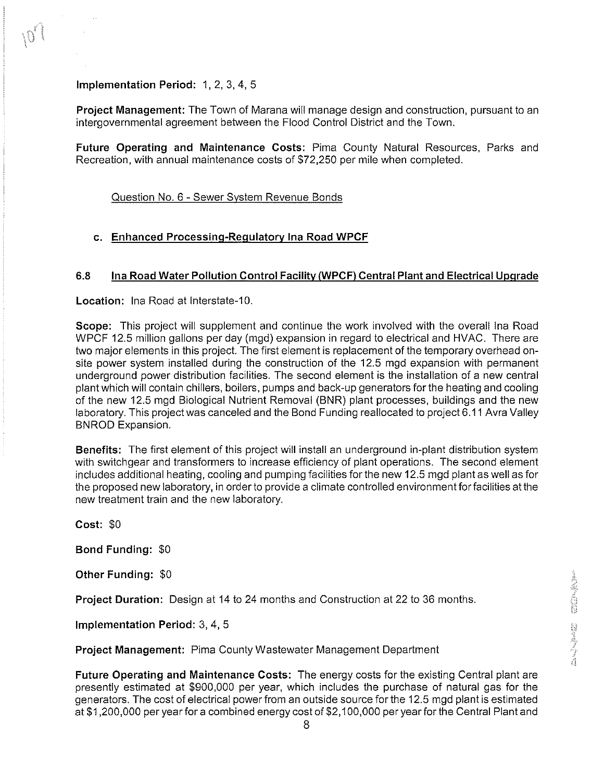Implementation Period: 1, 2, 3, 4, 5

Project Management: The Town of Marana will manage design and construction, pursuant to an intergovernmental agreement between the Flood Control District and the Town.

Future Operating and Maintenance Costs: Pima County Natural Resources, Parks and Recreation, with annual maintenance costs of \$72,250 per mile when completed.

Question No. 6 - Sewer Svstem Revenue Bonds

#### c. Enhanced Processing-Regulatory Ina Road WPCF

#### **6.8** lna Road Water Pollution Control Facilitv(WPCF) Central Plant and Electrical Upqrade

Location: Ina Road at Interstate-10.

Scope: This project will supplement and continue the work involved with the overall lna Road WPCF 12.5 million gallons per day (mgd) expansion in regard to electrical and HVAC. There are two major elements in this project. The first element is replacement of the temporary overhead onsite power system installed during the construction of the 12.5 mgd expansion with permanent underground power distribution facilities. The second element is the installation of a new central plant which will contain chillers, boilers, pumps and back-up generators for the heating and cooling of the new 12.5 mgd Biological Nutrient Removal (BNR) plant processes, buildings and the new laboratory. This project was canceled and the Bond Funding reallocated to project 6.1 1 Avra Valley BNROD Expansion.

Benefits: The first element of this project will install an underground in-plant distribution system with switchgear and transformers to increase efficiency of plant operations. The second element includes additional heating, cooling and pumping facilities for the new 12.5 mgd plant as well as for the proposed new laboratory, in order to provide a climate controlled environment for facilities at the new treatment train and the new laboratory.

Cost: \$0

Bond Funding: \$0

Other Funding: \$0

Project Duration: Design at 14 to 24 months and Construction at 22 to 36 months.

Implementation Period: 3, 4, 5

Project Management: Pima County Wastewater Management Department

Future Operating and Maintenance Costs: The energy costs for the existing Central plant are presently estimated at \$900,000 per year, which includes the purchase of natural gas for the generators. The cost of electrical power from an outside source for the 12.5 mgd plant is estimated at \$1,200,000 per year for a combined energy cost of \$2,100,000 per yearforthe Central Plant and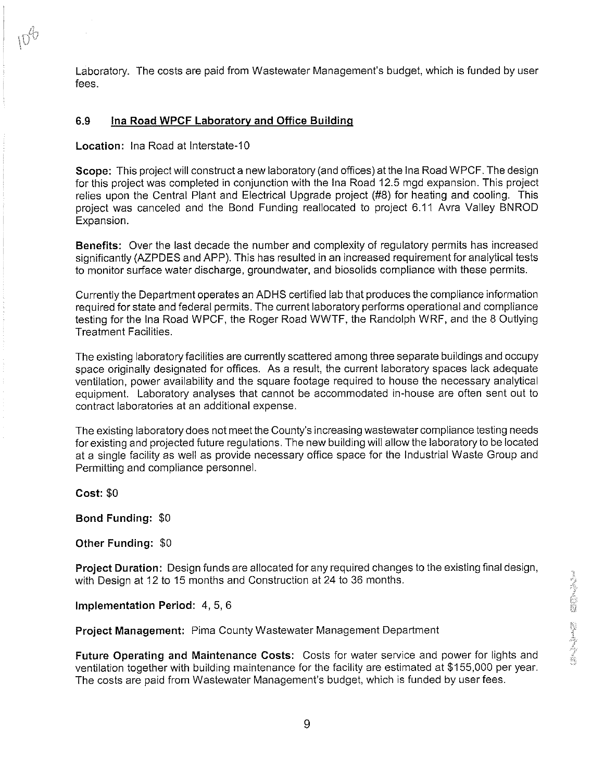Laboratory. The costs are paid from Wastewater Management's budget, which is funded by user fees.

#### 6.9 Ina Road WPCF Laboratory and Office Building

Location: Ina Road at Interstate-10

Scope: This project will construct a new laboratory (and offices) at the lna Road WPCF. The design for this project was completed in conjunction with the lna Road 12.5 mgd expansion. This project relies upon the Central Plant and Electrical Upgrade project (#8) for heating and cooling. This project was canceled and the Bond Funding reallocated to project 6.1 1 Avra Valley BNROD Expansion.

Benefits: Over the last decade the number and complexity of regulatory permits has increased significantly (AZPDES and APP). This has resulted in an increased requirement for analytical tests to monitor surface water discharge, groundwater, and biosolids compliance with these permits.

Currently the Department operates an ADHS certified lab that produces the compliance information required for state and federal permits. The current laboratory performs operational and compliance testing for the lna Road WPCF, the Roger Road WWTF, the Randolph WRF, and the 8 Outlying Treatment Facilities.

The existing laboratory facilities are currently scattered among three separate buildings and occupy space originally designated for offices. As a result, the current laboratory spaces lack adequate ventilation, power availability and the square footage required to house the necessary analytical equipment. Laboratory analyses that cannot be accommodated in-house are often sent out to contract laboratories at an additional expense.

The existing laboratory does not meet the County's increasing wastewater compliance testing needs forexisting and projected future regulations. The new building will allow the laboratoryto be located at a single facility as well as provide necessary office space for the Industrial Waste Group and Permitting and compliance personnel.

Cost: \$0

Bond Funding: \$0

Other Funding: \$0

Project Duration: Design funds are allocated for any required changes to the existing final design, with Design at 12 to 15 months and Construction at 24 to 36 months.

Implementation Period: 4, 5, 6

Project Management: Pima County Wastewater Management Department

Future Operating and Maintenance Costs: Costs for water service and power for lights and ventilation together with building maintenance for the facility are estimated at \$155,000 per year. The costs are paid from Wastewater Management's budget, which is funded by user fees.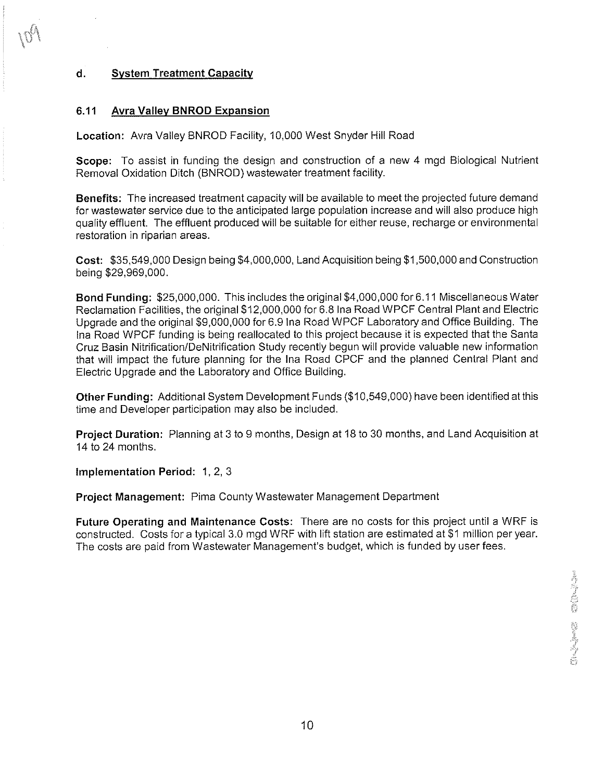# d. System Treatment Capacity

#### **6.11** Avra Vallev BNROD Expansion

Location: Avra Valley BNROD Facility, 10,000 West Snyder Hill Road

Scope: To assist in funding the design and construction of a new 4 mgd Biological Nutrient Removal Oxidation Ditch (BNROD) wastewater treatment facility.

Benefits: The increased treatment capacity will be available to meet the projected future demand for wastewater service due to the anticipated large population increase and will also produce high quality effluent. The effluent produced will be suitable for either reuse, recharge or environmental restoration in riparian areas.

Cost: \$35,549,000 Design being \$4,000,000, Land Acquisition being \$1,500,000 and Construction being \$29,969,000.

Bond Funding: \$25,000,000. This includes the original \$4,000,000 for 6.1 1 Miscellaneous Water Reclamation Facilities, the original \$12,000,000 for 6.8 ina Road WPCF Central Plant and Electric Upgrade and the original \$9,000,000 for 6.9 lna Road WPCF Laboratoryand Office Building. The Ina Road WPCF funding is being reallocated to this project because it is expected that the Santa Cruz Basin Nitrification/DeNitrification Study recently begun will provide valuable new information that will impact the future planning for the lna Road CPCF and the planned Central Plant and Electric Upgrade and the Laboratory and Office Building.

Other Funding: Additional System Development Funds (\$10,549,000) have been identified at this time and Developer participation may also be included.

Project Duration: Planning at 3 to 9 months, Design at 18 to 30 months, and Land Acquisition at 14 to 24 months.

Implementation Period: 1, 2, 3

Project Management: Pima County Wastewater Management Department

Future Operating and Maintenance Costs: There are no costs for this project until a WRF is constructed. Costs for a typical 3.0 mgd WRF with lift station are estimated at \$1 million per year. The costs are paid from Wastewater Management's budget, which is funded by user fees.